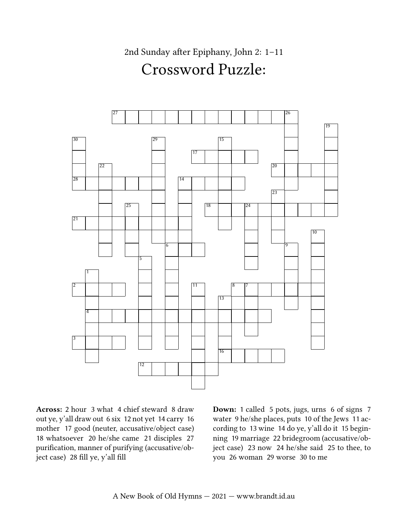2nd Sunday after Epiphany, John 2: 1–11 Crossword Puzzle:



Across: 2 hour 3 what 4 chief steward 8 draw out ye, y'all draw out 6 six 12 not yet 14 carry 16 mother 17 good (neuter, accusative/object case) 18 whatsoever 20 he/she came 21 disciples 27 purification, manner of purifying (accusative/object case) 28 fill ye, y'all fill

Down: 1 called 5 pots, jugs, urns 6 of signs 7 water 9 he/she places, puts 10 of the Jews 11 according to 13 wine 14 do ye, y'all do it 15 beginning 19 marriage 22 bridegroom (accusative/object case) 23 now 24 he/she said 25 to thee, to you 26 woman 29 worse 30 to me